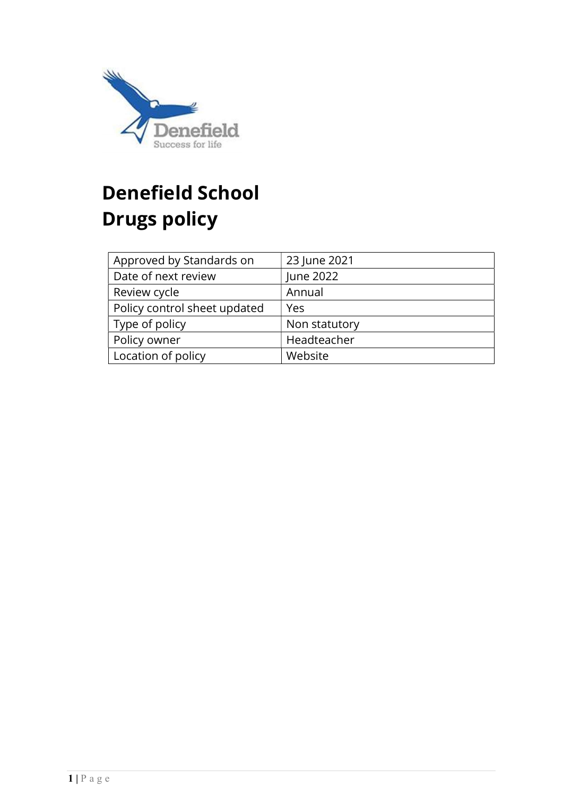

# Denefield School Drugs policy

| Approved by Standards on     | 23 June 2021  |
|------------------------------|---------------|
| Date of next review          | June 2022     |
| Review cycle                 | Annual        |
| Policy control sheet updated | Yes           |
| Type of policy               | Non statutory |
| Policy owner                 | Headteacher   |
| Location of policy           | Website       |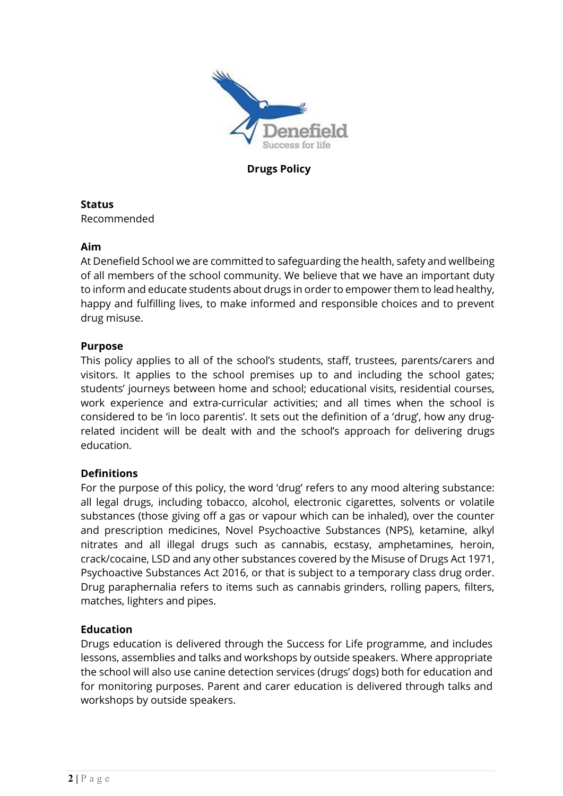

Drugs Policy

# Status

Recommended

#### Aim

At Denefield School we are committed to safeguarding the health, safety and wellbeing of all members of the school community. We believe that we have an important duty to inform and educate students about drugs in order to empower them to lead healthy, happy and fulfilling lives, to make informed and responsible choices and to prevent drug misuse.

#### Purpose

This policy applies to all of the school's students, staff, trustees, parents/carers and visitors. It applies to the school premises up to and including the school gates; students' journeys between home and school; educational visits, residential courses, work experience and extra-curricular activities; and all times when the school is considered to be 'in loco parentis'. It sets out the definition of a 'drug', how any drugrelated incident will be dealt with and the school's approach for delivering drugs education.

## **Definitions**

For the purpose of this policy, the word 'drug' refers to any mood altering substance: all legal drugs, including tobacco, alcohol, electronic cigarettes, solvents or volatile substances (those giving off a gas or vapour which can be inhaled), over the counter and prescription medicines, Novel Psychoactive Substances (NPS), ketamine, alkyl nitrates and all illegal drugs such as cannabis, ecstasy, amphetamines, heroin, crack/cocaine, LSD and any other substances covered by the Misuse of Drugs Act 1971, Psychoactive Substances Act 2016, or that is subject to a temporary class drug order. Drug paraphernalia refers to items such as cannabis grinders, rolling papers, filters, matches, lighters and pipes.

## Education

Drugs education is delivered through the Success for Life programme, and includes lessons, assemblies and talks and workshops by outside speakers. Where appropriate the school will also use canine detection services (drugs' dogs) both for education and for monitoring purposes. Parent and carer education is delivered through talks and workshops by outside speakers.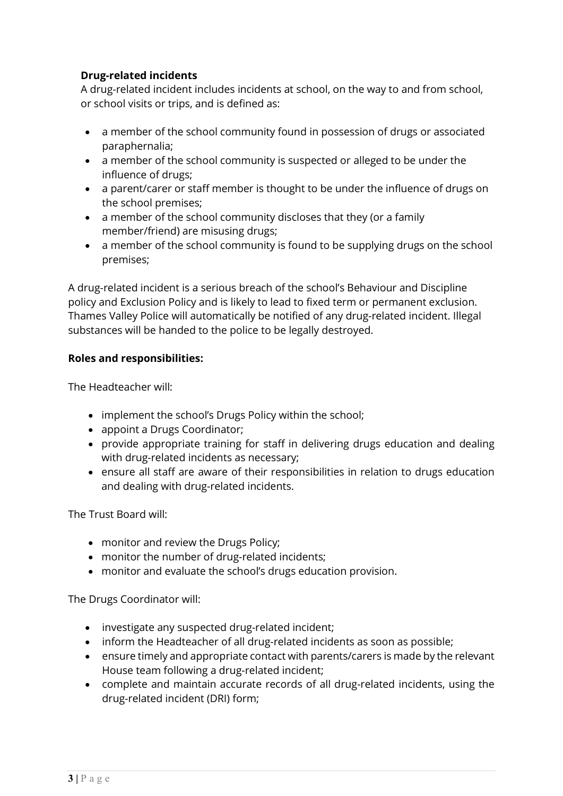# Drug-related incidents

A drug-related incident includes incidents at school, on the way to and from school, or school visits or trips, and is defined as:

- a member of the school community found in possession of drugs or associated paraphernalia;
- a member of the school community is suspected or alleged to be under the influence of drugs;
- a parent/carer or staff member is thought to be under the influence of drugs on the school premises;
- a member of the school community discloses that they (or a family member/friend) are misusing drugs;
- a member of the school community is found to be supplying drugs on the school premises;

A drug-related incident is a serious breach of the school's Behaviour and Discipline policy and Exclusion Policy and is likely to lead to fixed term or permanent exclusion. Thames Valley Police will automatically be notified of any drug-related incident. Illegal substances will be handed to the police to be legally destroyed.

## Roles and responsibilities:

The Headteacher will:

- implement the school's Drugs Policy within the school;
- appoint a Drugs Coordinator:
- provide appropriate training for staff in delivering drugs education and dealing with drug-related incidents as necessary;
- ensure all staff are aware of their responsibilities in relation to drugs education and dealing with drug-related incidents.

The Trust Board will:

- monitor and review the Drugs Policy;
- monitor the number of drug-related incidents;
- monitor and evaluate the school's drugs education provision.

The Drugs Coordinator will:

- investigate any suspected drug-related incident;
- inform the Headteacher of all drug-related incidents as soon as possible;
- ensure timely and appropriate contact with parents/carers is made by the relevant House team following a drug-related incident;
- complete and maintain accurate records of all drug-related incidents, using the drug-related incident (DRI) form;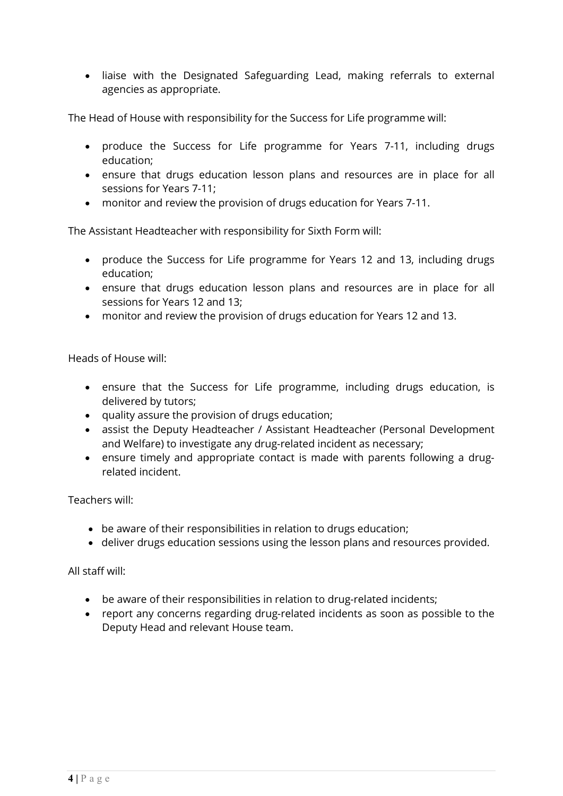liaise with the Designated Safeguarding Lead, making referrals to external agencies as appropriate.

The Head of House with responsibility for the Success for Life programme will:

- produce the Success for Life programme for Years 7-11, including drugs education;
- ensure that drugs education lesson plans and resources are in place for all sessions for Years 7-11;
- monitor and review the provision of drugs education for Years 7-11.

The Assistant Headteacher with responsibility for Sixth Form will:

- produce the Success for Life programme for Years 12 and 13, including drugs education;
- ensure that drugs education lesson plans and resources are in place for all sessions for Years 12 and 13;
- monitor and review the provision of drugs education for Years 12 and 13.

Heads of House will:

- ensure that the Success for Life programme, including drugs education, is delivered by tutors;
- quality assure the provision of drugs education;
- assist the Deputy Headteacher / Assistant Headteacher (Personal Development and Welfare) to investigate any drug-related incident as necessary;
- ensure timely and appropriate contact is made with parents following a drugrelated incident.

Teachers will:

- be aware of their responsibilities in relation to drugs education;
- deliver drugs education sessions using the lesson plans and resources provided.

All staff will:

- be aware of their responsibilities in relation to drug-related incidents;
- report any concerns regarding drug-related incidents as soon as possible to the Deputy Head and relevant House team.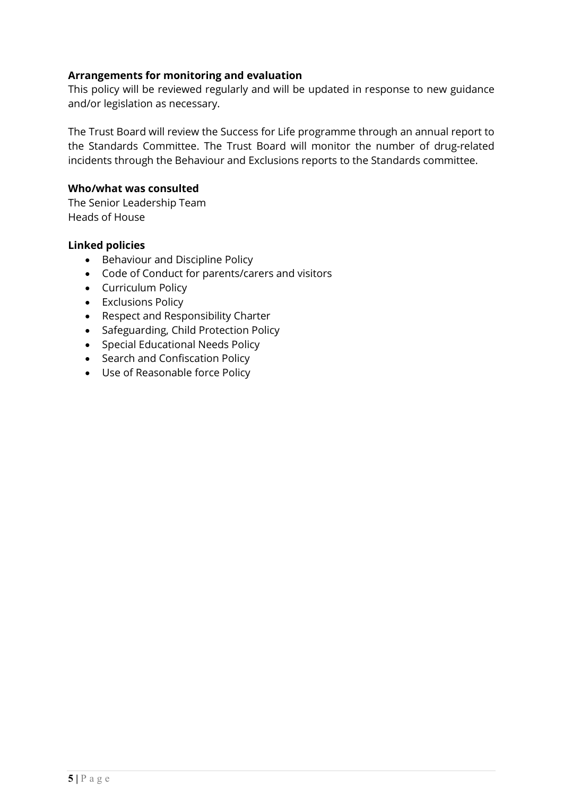#### Arrangements for monitoring and evaluation

This policy will be reviewed regularly and will be updated in response to new guidance and/or legislation as necessary.

The Trust Board will review the Success for Life programme through an annual report to the Standards Committee. The Trust Board will monitor the number of drug-related incidents through the Behaviour and Exclusions reports to the Standards committee.

#### Who/what was consulted

The Senior Leadership Team Heads of House

#### Linked policies

- Behaviour and Discipline Policy
- Code of Conduct for parents/carers and visitors
- Curriculum Policy
- Exclusions Policy
- Respect and Responsibility Charter
- Safeguarding, Child Protection Policy
- Special Educational Needs Policy
- Search and Confiscation Policy
- Use of Reasonable force Policy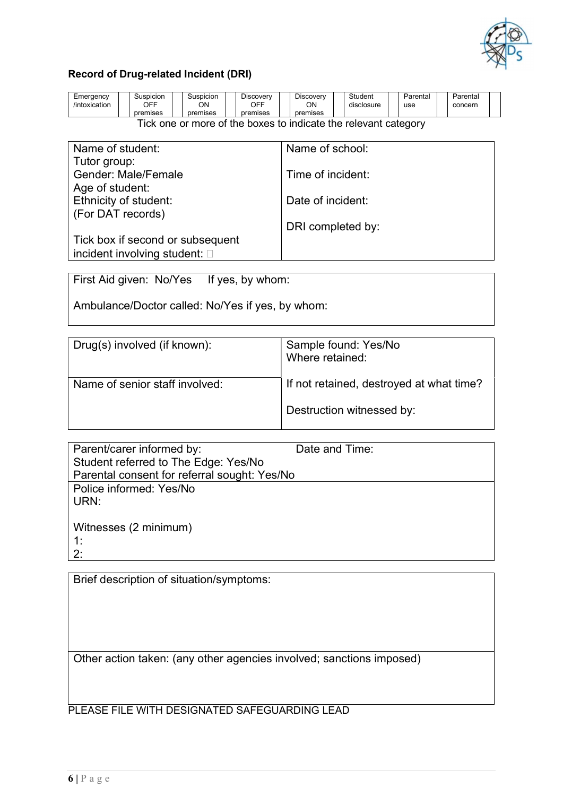

#### Record of Drug-related Incident (DRI)

| Emergency<br>/intoxication | Suspicion<br>OFF<br>premises | Suspicion<br>ΟN<br>premises | Discovery<br>OFF<br>premises | <b>Discovery</b><br>ΟN<br>premises     | Student<br>disclosure | Parentai<br>use | Parental<br>concerr |  |
|----------------------------|------------------------------|-----------------------------|------------------------------|----------------------------------------|-----------------------|-----------------|---------------------|--|
|                            |                              |                             |                              |                                        |                       |                 |                     |  |
|                            | ______                       | $\sim$ $\sim$               |                              | ___<br>the contract of the contract of |                       |                 |                     |  |

Tick one or more of the boxes to indicate the relevant category

| Name of student:                      | Name of school:   |
|---------------------------------------|-------------------|
| Tutor group:                          |                   |
| <b>Gender: Male/Female</b>            | Time of incident: |
| Age of student:                       |                   |
| Ethnicity of student:                 | Date of incident: |
| (For DAT records)                     |                   |
|                                       | DRI completed by: |
| Tick box if second or subsequent      |                   |
|                                       |                   |
| incident involving student: $\square$ |                   |

First Aid given: No/Yes If yes, by whom:

Ambulance/Doctor called: No/Yes if yes, by whom:

| Drug(s) involved (if known):   | Sample found: Yes/No<br>Where retained:  |  |  |
|--------------------------------|------------------------------------------|--|--|
| Name of senior staff involved: | If not retained, destroyed at what time? |  |  |
|                                | Destruction witnessed by:                |  |  |

| Parent/carer informed by:                    | Date and Time: |
|----------------------------------------------|----------------|
| Student referred to The Edge: Yes/No         |                |
| Parental consent for referral sought: Yes/No |                |
| Police informed: Yes/No                      |                |
| URN:                                         |                |
|                                              |                |
| Witnesses (2 minimum)                        |                |
| $\cdot$                                      |                |
| 2:                                           |                |

Brief description of situation/symptoms:

Other action taken: (any other agencies involved; sanctions imposed)

PLEASE FILE WITH DESIGNATED SAFEGUARDING LEAD